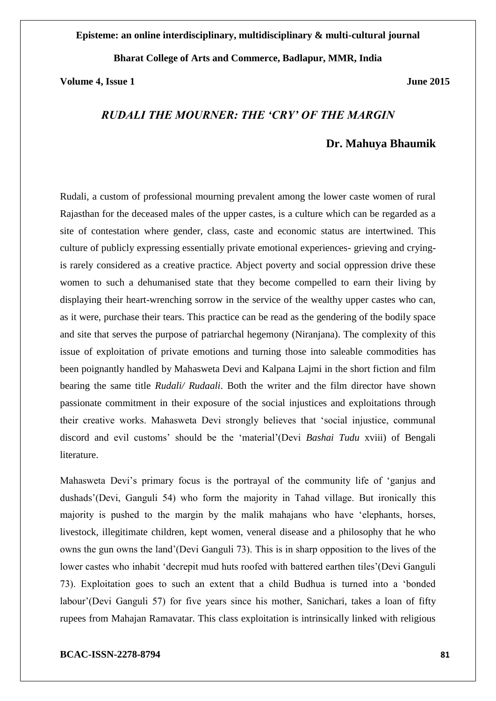## **Episteme: an online interdisciplinary, multidisciplinary & multi-cultural journal**

## **Bharat College of Arts and Commerce, Badlapur, MMR, India**

### **Volume 4, Issue 1 June 2015**

# *RUDALI THE MOURNER: THE 'CRY' OF THE MARGIN*

## **Dr. Mahuya Bhaumik**

Rudali, a custom of professional mourning prevalent among the lower caste women of rural Rajasthan for the deceased males of the upper castes, is a culture which can be regarded as a site of contestation where gender, class, caste and economic status are intertwined. This culture of publicly expressing essentially private emotional experiences- grieving and cryingis rarely considered as a creative practice. Abject poverty and social oppression drive these women to such a dehumanised state that they become compelled to earn their living by displaying their heart-wrenching sorrow in the service of the wealthy upper castes who can, as it were, purchase their tears. This practice can be read as the gendering of the bodily space and site that serves the purpose of patriarchal hegemony (Niranjana). The complexity of this issue of exploitation of private emotions and turning those into saleable commodities has been poignantly handled by Mahasweta Devi and Kalpana Lajmi in the short fiction and film bearing the same title *Rudali/ Rudaali*. Both the writer and the film director have shown passionate commitment in their exposure of the social injustices and exploitations through their creative works. Mahasweta Devi strongly believes that 'social injustice, communal discord and evil customs' should be the 'material'(Devi *Bashai Tudu* xviii) of Bengali literature.

Mahasweta Devi's primary focus is the portrayal of the community life of 'ganjus and dushads'(Devi, Ganguli 54) who form the majority in Tahad village. But ironically this majority is pushed to the margin by the malik mahajans who have 'elephants, horses, livestock, illegitimate children, kept women, veneral disease and a philosophy that he who owns the gun owns the land'(Devi Ganguli 73). This is in sharp opposition to the lives of the lower castes who inhabit 'decrepit mud huts roofed with battered earthen tiles'(Devi Ganguli 73). Exploitation goes to such an extent that a child Budhua is turned into a 'bonded labour'(Devi Ganguli 57) for five years since his mother, Sanichari, takes a loan of fifty rupees from Mahajan Ramavatar. This class exploitation is intrinsically linked with religious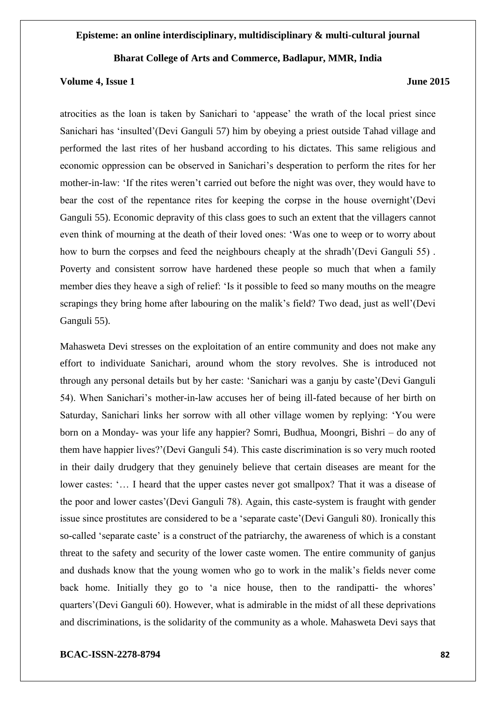### **Volume 4, Issue 1 June 2015**

atrocities as the loan is taken by Sanichari to 'appease' the wrath of the local priest since Sanichari has 'insulted'(Devi Ganguli 57) him by obeying a priest outside Tahad village and performed the last rites of her husband according to his dictates. This same religious and economic oppression can be observed in Sanichari's desperation to perform the rites for her mother-in-law: 'If the rites weren't carried out before the night was over, they would have to bear the cost of the repentance rites for keeping the corpse in the house overnight'(Devi Ganguli 55). Economic depravity of this class goes to such an extent that the villagers cannot even think of mourning at the death of their loved ones: 'Was one to weep or to worry about how to burn the corpses and feed the neighbours cheaply at the shradh'(Devi Ganguli 55) . Poverty and consistent sorrow have hardened these people so much that when a family member dies they heave a sigh of relief: 'Is it possible to feed so many mouths on the meagre scrapings they bring home after labouring on the malik's field? Two dead, just as well'(Devi Ganguli 55).

Mahasweta Devi stresses on the exploitation of an entire community and does not make any effort to individuate Sanichari, around whom the story revolves. She is introduced not through any personal details but by her caste: 'Sanichari was a ganju by caste'(Devi Ganguli 54). When Sanichari's mother-in-law accuses her of being ill-fated because of her birth on Saturday, Sanichari links her sorrow with all other village women by replying: 'You were born on a Monday- was your life any happier? Somri, Budhua, Moongri, Bishri – do any of them have happier lives?'(Devi Ganguli 54). This caste discrimination is so very much rooted in their daily drudgery that they genuinely believe that certain diseases are meant for the lower castes: '… I heard that the upper castes never got smallpox? That it was a disease of the poor and lower castes'(Devi Ganguli 78). Again, this caste-system is fraught with gender issue since prostitutes are considered to be a 'separate caste'(Devi Ganguli 80). Ironically this so-called 'separate caste' is a construct of the patriarchy, the awareness of which is a constant threat to the safety and security of the lower caste women. The entire community of ganjus and dushads know that the young women who go to work in the malik's fields never come back home. Initially they go to 'a nice house, then to the randipatti- the whores' quarters'(Devi Ganguli 60). However, what is admirable in the midst of all these deprivations and discriminations, is the solidarity of the community as a whole. Mahasweta Devi says that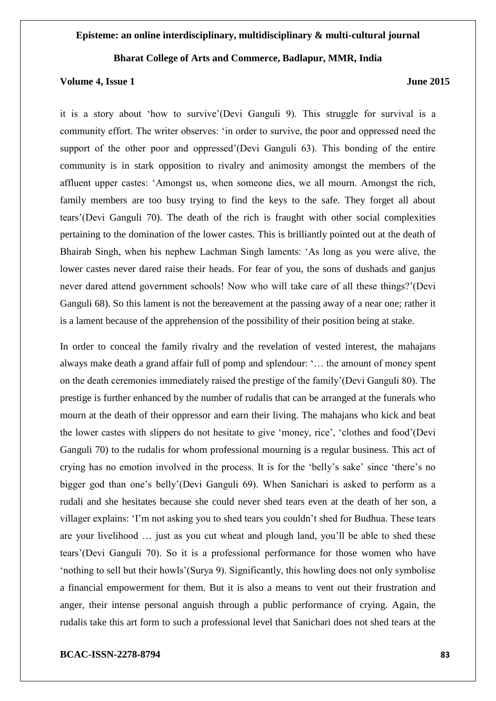#### **Volume 4, Issue 1 June 2015**

it is a story about 'how to survive'(Devi Ganguli 9). This struggle for survival is a community effort. The writer observes: 'in order to survive, the poor and oppressed need the support of the other poor and oppressed'(Devi Ganguli 63). This bonding of the entire community is in stark opposition to rivalry and animosity amongst the members of the affluent upper castes: 'Amongst us, when someone dies, we all mourn. Amongst the rich, family members are too busy trying to find the keys to the safe. They forget all about tears'(Devi Ganguli 70). The death of the rich is fraught with other social complexities pertaining to the domination of the lower castes. This is brilliantly pointed out at the death of Bhairab Singh, when his nephew Lachman Singh laments: 'As long as you were alive, the lower castes never dared raise their heads. For fear of you, the sons of dushads and ganjus never dared attend government schools! Now who will take care of all these things?'(Devi Ganguli 68). So this lament is not the bereavement at the passing away of a near one; rather it is a lament because of the apprehension of the possibility of their position being at stake.

In order to conceal the family rivalry and the revelation of vested interest, the mahajans always make death a grand affair full of pomp and splendour: '… the amount of money spent on the death ceremonies immediately raised the prestige of the family'(Devi Ganguli 80). The prestige is further enhanced by the number of rudalis that can be arranged at the funerals who mourn at the death of their oppressor and earn their living. The mahajans who kick and beat the lower castes with slippers do not hesitate to give 'money, rice', 'clothes and food'(Devi Ganguli 70) to the rudalis for whom professional mourning is a regular business. This act of crying has no emotion involved in the process. It is for the 'belly's sake' since 'there's no bigger god than one's belly'(Devi Ganguli 69). When Sanichari is asked to perform as a rudali and she hesitates because she could never shed tears even at the death of her son, a villager explains: 'I'm not asking you to shed tears you couldn't shed for Budhua. These tears are your livelihood … just as you cut wheat and plough land, you'll be able to shed these tears'(Devi Ganguli 70). So it is a professional performance for those women who have 'nothing to sell but their howls'(Surya 9). Significantly, this howling does not only symbolise a financial empowerment for them. But it is also a means to vent out their frustration and anger, their intense personal anguish through a public performance of crying. Again, the rudalis take this art form to such a professional level that Sanichari does not shed tears at the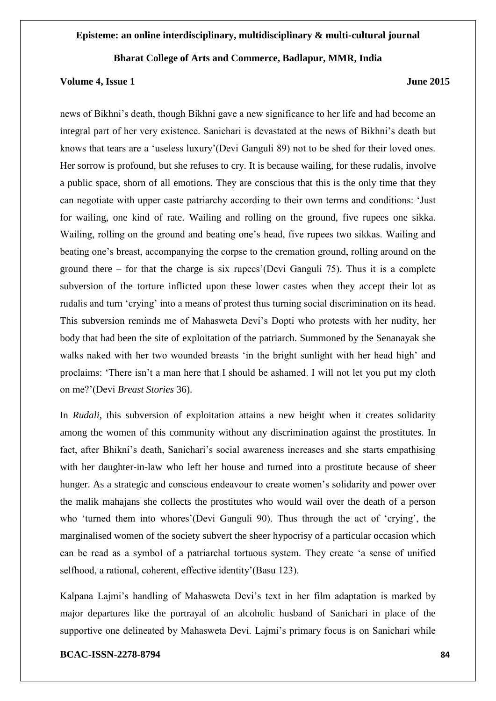### **Volume 4, Issue 1 June 2015**

news of Bikhni's death, though Bikhni gave a new significance to her life and had become an integral part of her very existence. Sanichari is devastated at the news of Bikhni's death but knows that tears are a 'useless luxury'(Devi Ganguli 89) not to be shed for their loved ones. Her sorrow is profound, but she refuses to cry. It is because wailing, for these rudalis, involve a public space, shorn of all emotions. They are conscious that this is the only time that they can negotiate with upper caste patriarchy according to their own terms and conditions: 'Just for wailing, one kind of rate. Wailing and rolling on the ground, five rupees one sikka. Wailing, rolling on the ground and beating one's head, five rupees two sikkas. Wailing and beating one's breast, accompanying the corpse to the cremation ground, rolling around on the ground there – for that the charge is six rupees'(Devi Ganguli 75). Thus it is a complete subversion of the torture inflicted upon these lower castes when they accept their lot as rudalis and turn 'crying' into a means of protest thus turning social discrimination on its head. This subversion reminds me of Mahasweta Devi's Dopti who protests with her nudity, her body that had been the site of exploitation of the patriarch. Summoned by the Senanayak she walks naked with her two wounded breasts 'in the bright sunlight with her head high' and proclaims: 'There isn't a man here that I should be ashamed. I will not let you put my cloth on me?'(Devi *Breast Stories* 36).

In *Rudali*, this subversion of exploitation attains a new height when it creates solidarity among the women of this community without any discrimination against the prostitutes. In fact, after Bhikni's death, Sanichari's social awareness increases and she starts empathising with her daughter-in-law who left her house and turned into a prostitute because of sheer hunger. As a strategic and conscious endeavour to create women's solidarity and power over the malik mahajans she collects the prostitutes who would wail over the death of a person who 'turned them into whores'(Devi Ganguli 90). Thus through the act of 'crying', the marginalised women of the society subvert the sheer hypocrisy of a particular occasion which can be read as a symbol of a patriarchal tortuous system. They create 'a sense of unified selfhood, a rational, coherent, effective identity'(Basu 123).

Kalpana Lajmi's handling of Mahasweta Devi's text in her film adaptation is marked by major departures like the portrayal of an alcoholic husband of Sanichari in place of the supportive one delineated by Mahasweta Devi. Lajmi's primary focus is on Sanichari while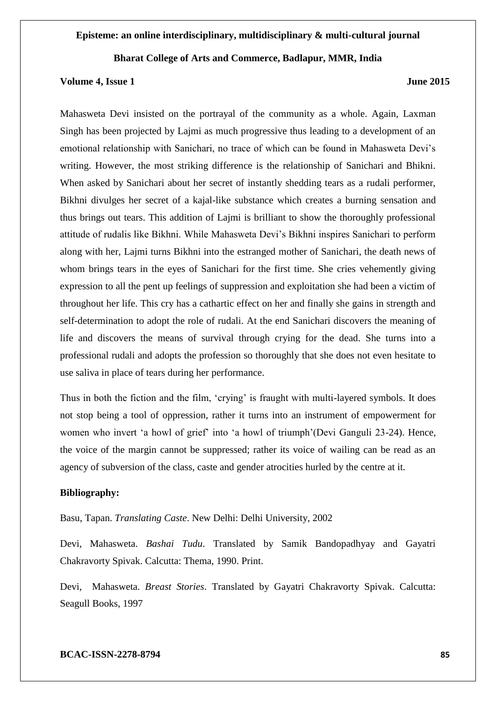### **Volume 4, Issue 1 June 2015**

Mahasweta Devi insisted on the portrayal of the community as a whole. Again, Laxman Singh has been projected by Lajmi as much progressive thus leading to a development of an emotional relationship with Sanichari, no trace of which can be found in Mahasweta Devi's writing. However, the most striking difference is the relationship of Sanichari and Bhikni. When asked by Sanichari about her secret of instantly shedding tears as a rudali performer, Bikhni divulges her secret of a kajal-like substance which creates a burning sensation and thus brings out tears. This addition of Lajmi is brilliant to show the thoroughly professional attitude of rudalis like Bikhni. While Mahasweta Devi's Bikhni inspires Sanichari to perform along with her, Lajmi turns Bikhni into the estranged mother of Sanichari, the death news of whom brings tears in the eyes of Sanichari for the first time. She cries vehemently giving expression to all the pent up feelings of suppression and exploitation she had been a victim of throughout her life. This cry has a cathartic effect on her and finally she gains in strength and self-determination to adopt the role of rudali. At the end Sanichari discovers the meaning of life and discovers the means of survival through crying for the dead. She turns into a professional rudali and adopts the profession so thoroughly that she does not even hesitate to use saliva in place of tears during her performance.

Thus in both the fiction and the film, 'crying' is fraught with multi-layered symbols. It does not stop being a tool of oppression, rather it turns into an instrument of empowerment for women who invert 'a howl of grief' into 'a howl of triumph'(Devi Ganguli 23-24). Hence, the voice of the margin cannot be suppressed; rather its voice of wailing can be read as an agency of subversion of the class, caste and gender atrocities hurled by the centre at it.

### **Bibliography:**

Basu, Tapan. *Translating Caste*. New Delhi: Delhi University, 2002

Devi, Mahasweta. *Bashai Tudu*. Translated by Samik Bandopadhyay and Gayatri Chakravorty Spivak. Calcutta: Thema, 1990. Print.

Devi, Mahasweta. *Breast Stories*. Translated by Gayatri Chakravorty Spivak. Calcutta: Seagull Books, 1997